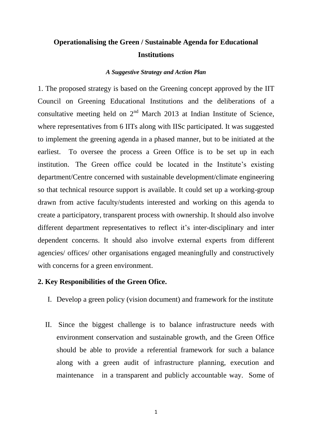### **Operationalising the Green / Sustainable Agenda for Educational Institutions**

#### *A Suggestive Strategy and Action Plan*

1. The proposed strategy is based on the Greening concept approved by the IIT Council on Greening Educational Institutions and the deliberations of a consultative meeting held on  $2<sup>nd</sup>$  March 2013 at Indian Institute of Science, where representatives from 6 IITs along with IISc participated. It was suggested to implement the greening agenda in a phased manner, but to be initiated at the earliest. To oversee the process a Green Office is to be set up in each institution. The Green office could be located in the Institute's existing department/Centre concerned with sustainable development/climate engineering so that technical resource support is available. It could set up a working-group drawn from active faculty/students interested and working on this agenda to create a participatory, transparent process with ownership. It should also involve different department representatives to reflect it's inter-disciplinary and inter dependent concerns. It should also involve external experts from different agencies/ offices/ other organisations engaged meaningfully and constructively with concerns for a green environment.

#### **2. Key Responibilities of the Green Ofice.**

- I. Develop a green policy (vision document) and framework for the institute
- II. Since the biggest challenge is to balance infrastructure needs with environment conservation and sustainable growth, and the Green Office should be able to provide a referential framework for such a balance along with a green audit of infrastructure planning, execution and maintenance in a transparent and publicly accountable way. Some of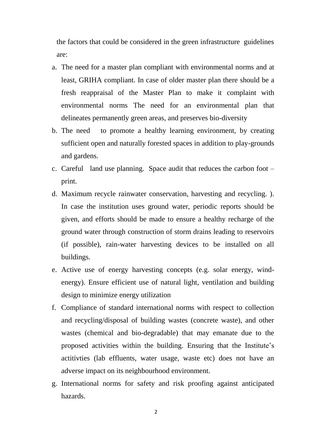the factors that could be considered in the green infrastructure guidelines are:

- a. The need for a master plan compliant with environmental norms and at least, GRIHA compliant. In case of older master plan there should be a fresh reappraisal of the Master Plan to make it complaint with environmental norms The need for an environmental plan that delineates permanently green areas, and preserves bio-diversity
- b. The need to promote a healthy learning environment, by creating sufficient open and naturally forested spaces in addition to play-grounds and gardens.
- c. Careful land use planning. Space audit that reduces the carbon foot print.
- d. Maximum recycle rainwater conservation, harvesting and recycling. ). In case the institution uses ground water, periodic reports should be given, and efforts should be made to ensure a healthy recharge of the ground water through construction of storm drains leading to reservoirs (if possible), rain-water harvesting devices to be installed on all buildings.
- e. Active use of energy harvesting concepts (e.g. solar energy, windenergy). Ensure efficient use of natural light, ventilation and building design to minimize energy utilization
- f. Compliance of standard international norms with respect to collection and recycling/disposal of building wastes (concrete waste), and other wastes (chemical and bio-degradable) that may emanate due to the proposed activities within the building. Ensuring that the Institute's actitivties (lab effluents, water usage, waste etc) does not have an adverse impact on its neighbourhood environment.
- g. International norms for safety and risk proofing against anticipated hazards.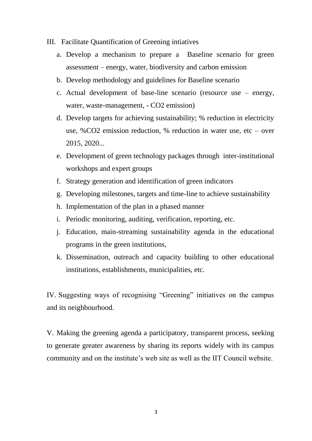- III. Facilitate Quantification of Greening intiatives
	- a. Develop a mechanism to prepare a Baseline scenario for green assessment – energy, water, biodiversity and carbon emission
	- b. Develop methodology and guidelines for Baseline scenario
	- c. Actual development of base-line scenario (resource use energy, water, waste-management, - CO2 emission)
	- d. Develop targets for achieving sustainability; % reduction in electricity use, %CO2 emission reduction, % reduction in water use, etc – over 2015, 2020...
	- e. Development of green technology packages through inter-institutional workshops and expert groups
	- f. Strategy generation and identification of green indicators
	- g. Developing milestones, targets and time-line to achieve sustainability
	- h. Implementation of the plan in a phased manner
	- i. Periodic monitoring, auditing, verification, reporting, etc.
	- j. Education, main-streaming sustainability agenda in the educational programs in the green institutions,
	- k. Dissemination, outreach and capacity building to other educational institutions, establishments, municipalities, etc.

IV. Suggesting ways of recognising "Greening" initiatives on the campus and its neighbourhood.

V. Making the greening agenda a participatory, transparent process, seeking to generate greater awareness by sharing its reports widely with its campus community and on the institute's web site as well as the IIT Council website.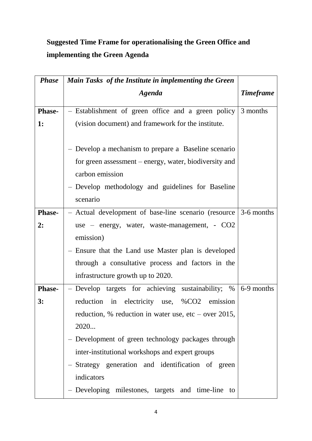# **Suggested Time Frame for operationalising the Green Office and implementing the Green Agenda**

| <b>Phase</b>  | Main Tasks of the Institute in implementing the Green                                                                                                                                              |                  |
|---------------|----------------------------------------------------------------------------------------------------------------------------------------------------------------------------------------------------|------------------|
|               | <b>Agenda</b>                                                                                                                                                                                      | <b>Timeframe</b> |
| <b>Phase-</b> | - Establishment of green office and a green policy 3 months                                                                                                                                        |                  |
| <b>1:</b>     | (vision document) and framework for the institute.                                                                                                                                                 |                  |
|               | - Develop a mechanism to prepare a Baseline scenario<br>for green assessment – energy, water, biodiversity and<br>carbon emission<br>- Develop methodology and guidelines for Baseline<br>scenario |                  |
| <b>Phase-</b> | - Actual development of base-line scenario (resource 3-6 months                                                                                                                                    |                  |
| 2:            | use – energy, water, waste-management, - CO2                                                                                                                                                       |                  |
|               | emission)                                                                                                                                                                                          |                  |
|               | - Ensure that the Land use Master plan is developed                                                                                                                                                |                  |
|               | through a consultative process and factors in the                                                                                                                                                  |                  |
|               | infrastructure growth up to 2020.                                                                                                                                                                  |                  |
| <b>Phase-</b> | - Develop targets for achieving sustainability; $\%$ 6-9 months                                                                                                                                    |                  |
| 3:            | reduction in electricity use, %CO2 emission                                                                                                                                                        |                  |
|               | reduction, % reduction in water use, etc – over 2015,                                                                                                                                              |                  |
|               | 2020                                                                                                                                                                                               |                  |
|               | - Development of green technology packages through                                                                                                                                                 |                  |
|               | inter-institutional workshops and expert groups                                                                                                                                                    |                  |
|               | - Strategy generation and identification of green                                                                                                                                                  |                  |
|               | indicators                                                                                                                                                                                         |                  |
|               | - Developing milestones, targets and time-line<br>to                                                                                                                                               |                  |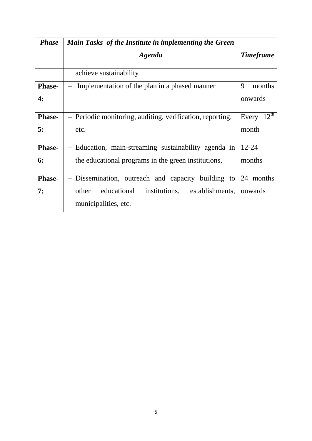| <b>Phase</b>  | Main Tasks of the Institute in implementing the Green     |                    |
|---------------|-----------------------------------------------------------|--------------------|
|               | <b>Agenda</b>                                             | <b>Timeframe</b>   |
|               | achieve sustainability                                    |                    |
| <b>Phase-</b> | Implementation of the plan in a phased manner             | 9<br>months        |
| 4:            |                                                           | onwards            |
| <b>Phase-</b> | - Periodic monitoring, auditing, verification, reporting, | $12^{th}$<br>Every |
| 5:            | etc.                                                      | month              |
| <b>Phase-</b> | - Education, main-streaming sustainability agenda in      | $12 - 24$          |
| 6:            | the educational programs in the green institutions,       | months             |
| <b>Phase-</b> | - Dissemination, outreach and capacity building to        | 24 months          |
| 7:            | institutions,<br>establishments,<br>educational<br>other  | onwards            |
|               | municipalities, etc.                                      |                    |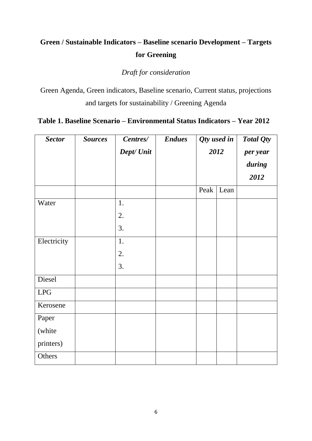## **Green / Sustainable Indicators – Baseline scenario Development – Targets for Greening**

*Draft for consideration* 

Green Agenda, Green indicators, Baseline scenario, Current status, projections and targets for sustainability / Greening Agenda

#### **Table 1. Baseline Scenario – Environmental Status Indicators – Year 2012**

| <b>Sector</b> | <b>Sources</b> | Centres/   | <b>Endues</b> |      | Qty used in | Total Qty |
|---------------|----------------|------------|---------------|------|-------------|-----------|
|               |                | Dept/ Unit |               | 2012 |             | per year  |
|               |                |            |               |      |             | during    |
|               |                |            |               |      |             | 2012      |
|               |                |            |               | Peak | Lean        |           |
| Water         |                | 1.         |               |      |             |           |
|               |                | 2.         |               |      |             |           |
|               |                | 3.         |               |      |             |           |
| Electricity   |                | 1.         |               |      |             |           |
|               |                | 2.         |               |      |             |           |
|               |                | 3.         |               |      |             |           |
| Diesel        |                |            |               |      |             |           |
| <b>LPG</b>    |                |            |               |      |             |           |
| Kerosene      |                |            |               |      |             |           |
| Paper         |                |            |               |      |             |           |
| (white        |                |            |               |      |             |           |
| printers)     |                |            |               |      |             |           |
| Others        |                |            |               |      |             |           |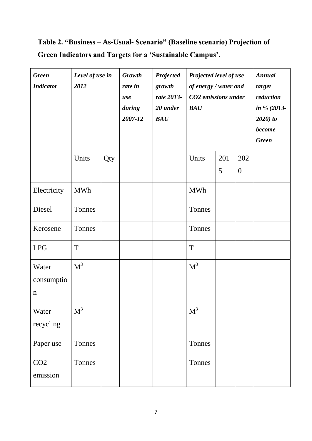# **Table 2. "Business – As-Usual- Scenario" (Baseline scenario) Projection of Green Indicators and Targets for a "Sustainable Campus".**

| <b>Green</b><br><b>Indicator</b>   | Level of use in<br>2012 |     | <b>Growth</b><br>rate in<br>use<br>during<br>2007-12 | Projected<br>growth<br>rate 2013-<br>20 under<br>BAU | Projected level of use<br>of energy / water and<br>CO2 emissions under<br>BAU |          |                       | <b>Annual</b><br>target<br>reduction<br>in % $(2013 -$<br>$2020$ ) to<br>become<br><b>Green</b> |
|------------------------------------|-------------------------|-----|------------------------------------------------------|------------------------------------------------------|-------------------------------------------------------------------------------|----------|-----------------------|-------------------------------------------------------------------------------------------------|
|                                    | Units                   | Qty |                                                      |                                                      | Units                                                                         | 201<br>5 | 202<br>$\overline{0}$ |                                                                                                 |
| Electricity                        | <b>MWh</b>              |     |                                                      |                                                      | <b>MWh</b>                                                                    |          |                       |                                                                                                 |
| Diesel                             | Tonnes                  |     |                                                      |                                                      | Tonnes                                                                        |          |                       |                                                                                                 |
| Kerosene                           | Tonnes                  |     |                                                      |                                                      | Tonnes                                                                        |          |                       |                                                                                                 |
| <b>LPG</b>                         | T                       |     |                                                      |                                                      | T                                                                             |          |                       |                                                                                                 |
| Water<br>consumptio<br>$\mathbf n$ | $M^3$                   |     |                                                      |                                                      | $M^3$                                                                         |          |                       |                                                                                                 |
| Water<br>recycling                 | M <sup>3</sup>          |     |                                                      |                                                      | M <sup>3</sup>                                                                |          |                       |                                                                                                 |
| Paper use                          | Tonnes                  |     |                                                      |                                                      | Tonnes                                                                        |          |                       |                                                                                                 |
| CO <sub>2</sub><br>emission        | Tonnes                  |     |                                                      |                                                      | Tonnes                                                                        |          |                       |                                                                                                 |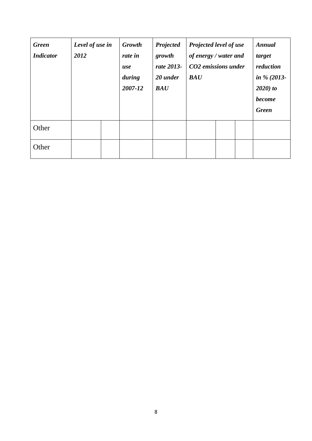| <b>Green</b><br><b>Indicator</b> | Level of use in<br>2012 | <b>Growth</b><br>rate in<br>use<br>during<br>2007-12 | Projected<br>growth<br>rate 2013-<br>20 under<br><b>BAU</b> | <b>Projected level of use</b><br>of energy / water and<br>CO2 emissions under<br><b>BAU</b> |  | <b>Annual</b><br>target<br>reduction<br>in $\%$ (2013-<br>$2020$ ) to<br><b>become</b><br><b>Green</b> |
|----------------------------------|-------------------------|------------------------------------------------------|-------------------------------------------------------------|---------------------------------------------------------------------------------------------|--|--------------------------------------------------------------------------------------------------------|
| Other                            |                         |                                                      |                                                             |                                                                                             |  |                                                                                                        |
| Other                            |                         |                                                      |                                                             |                                                                                             |  |                                                                                                        |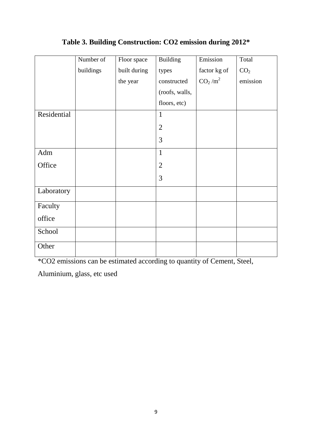|             | Number of | Floor space  | <b>Building</b> | Emission                        | Total           |
|-------------|-----------|--------------|-----------------|---------------------------------|-----------------|
|             | buildings | built during | types           | factor kg of                    | CO <sub>2</sub> |
|             |           | the year     | constructed     | CO <sub>2</sub> /m <sup>2</sup> | emission        |
|             |           |              | (roofs, walls,  |                                 |                 |
|             |           |              | floors, etc)    |                                 |                 |
| Residential |           |              | $\mathbf{1}$    |                                 |                 |
|             |           |              | $\overline{2}$  |                                 |                 |
|             |           |              | 3               |                                 |                 |
| Adm         |           |              | $\mathbf{1}$    |                                 |                 |
| Office      |           |              | $\overline{2}$  |                                 |                 |
|             |           |              | 3               |                                 |                 |
| Laboratory  |           |              |                 |                                 |                 |
| Faculty     |           |              |                 |                                 |                 |
| office      |           |              |                 |                                 |                 |
| School      |           |              |                 |                                 |                 |
| Other       |           |              |                 |                                 |                 |

### **Table 3. Building Construction: CO2 emission during 2012\***

\*CO2 emissions can be estimated according to quantity of Cement, Steel,

Aluminium, glass, etc used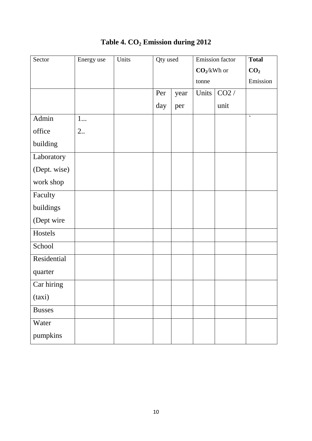| Sector        | Energy use | Units | Qty used |      |                                   | <b>Emission</b> factor | <b>Total</b>       |
|---------------|------------|-------|----------|------|-----------------------------------|------------------------|--------------------|
|               |            |       |          |      | $\mathbf{CO}_2\!/\mathrm{kWh}$ or |                        | CO <sub>2</sub>    |
|               |            |       |          |      | tonne                             |                        | Emission           |
|               |            |       | Per      | year | Units                             | CO2/                   |                    |
|               |            |       | day      | per  |                                   | unit                   |                    |
| Admin         | $1$        |       |          |      |                                   |                        | $\bar{\mathbf{v}}$ |
| office        | 2          |       |          |      |                                   |                        |                    |
| building      |            |       |          |      |                                   |                        |                    |
| Laboratory    |            |       |          |      |                                   |                        |                    |
| (Dept. wise)  |            |       |          |      |                                   |                        |                    |
| work shop     |            |       |          |      |                                   |                        |                    |
| Faculty       |            |       |          |      |                                   |                        |                    |
| buildings     |            |       |          |      |                                   |                        |                    |
| (Dept wire    |            |       |          |      |                                   |                        |                    |
| Hostels       |            |       |          |      |                                   |                        |                    |
| School        |            |       |          |      |                                   |                        |                    |
| Residential   |            |       |          |      |                                   |                        |                    |
| quarter       |            |       |          |      |                                   |                        |                    |
| Car hiring    |            |       |          |      |                                   |                        |                    |
| (taxi)        |            |       |          |      |                                   |                        |                    |
| <b>Busses</b> |            |       |          |      |                                   |                        |                    |
| Water         |            |       |          |      |                                   |                        |                    |
| pumpkins      |            |       |          |      |                                   |                        |                    |

## **Table 4. CO<sup>2</sup> Emission during 2012**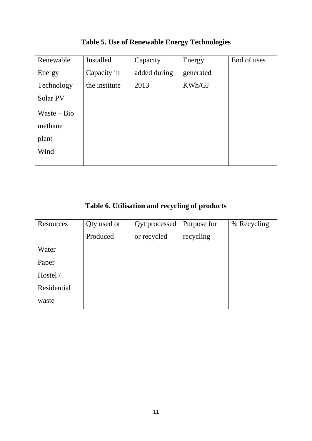| Renewable     | Installed     | Capacity     | Energy    | End of uses |
|---------------|---------------|--------------|-----------|-------------|
| Energy        | Capacity in   | added during | generated |             |
| Technology    | the institute | 2013         | KWh/GJ    |             |
| Solar PV      |               |              |           |             |
| $Waste - Bio$ |               |              |           |             |
| methane       |               |              |           |             |
| plant         |               |              |           |             |
| Wind          |               |              |           |             |
|               |               |              |           |             |

**Table 5. Use of Renewable Energy Technologies**

**Table 6. Utilisation and recycling of products**

| <b>Resources</b> | Qty used or | Qyt processed | Purpose for | % Recycling |
|------------------|-------------|---------------|-------------|-------------|
|                  | Produced    | or recycled   | recycling   |             |
| Water            |             |               |             |             |
| Paper            |             |               |             |             |
| Hostel /         |             |               |             |             |
| Residential      |             |               |             |             |
| waste            |             |               |             |             |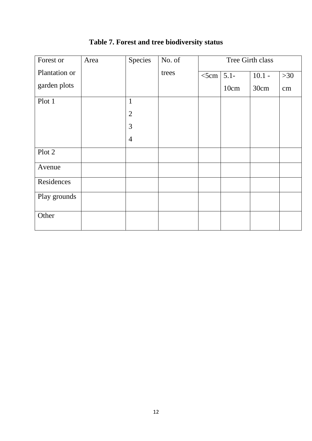| Forest or     | Area | Species        | No. of |         |         | Tree Girth class |          |
|---------------|------|----------------|--------|---------|---------|------------------|----------|
| Plantation or |      |                | trees  | $<$ 5cm | $5.1 -$ | $10.1 -$         | $>30$    |
| garden plots  |      |                |        |         | 10cm    | 30cm             | $\rm cm$ |
| Plot 1        |      | $\mathbf{1}$   |        |         |         |                  |          |
|               |      | $\overline{2}$ |        |         |         |                  |          |
|               |      | 3              |        |         |         |                  |          |
|               |      | $\overline{4}$ |        |         |         |                  |          |
| Plot 2        |      |                |        |         |         |                  |          |
| Avenue        |      |                |        |         |         |                  |          |
| Residences    |      |                |        |         |         |                  |          |
| Play grounds  |      |                |        |         |         |                  |          |
| Other         |      |                |        |         |         |                  |          |

### **Table 7. Forest and tree biodiversity status**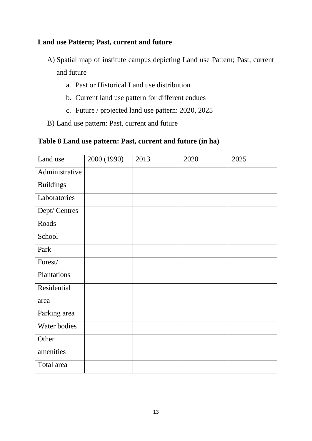#### **Land use Pattern; Past, current and future**

- A) Spatial map of institute campus depicting Land use Pattern; Past, current and future
	- a. Past or Historical Land use distribution
	- b. Current land use pattern for different endues
	- c. Future / projected land use pattern: 2020, 2025
- B) Land use pattern: Past, current and future

#### **Table 8 Land use pattern: Past, current and future (in ha)**

| Land use         | 2000 (1990) | 2013 | 2020 | 2025 |
|------------------|-------------|------|------|------|
| Administrative   |             |      |      |      |
| <b>Buildings</b> |             |      |      |      |
| Laboratories     |             |      |      |      |
| Dept/ Centres    |             |      |      |      |
| Roads            |             |      |      |      |
| School           |             |      |      |      |
| Park             |             |      |      |      |
| Forest/          |             |      |      |      |
| Plantations      |             |      |      |      |
| Residential      |             |      |      |      |
| area             |             |      |      |      |
| Parking area     |             |      |      |      |
| Water bodies     |             |      |      |      |
| Other            |             |      |      |      |
| amenities        |             |      |      |      |
| Total area       |             |      |      |      |